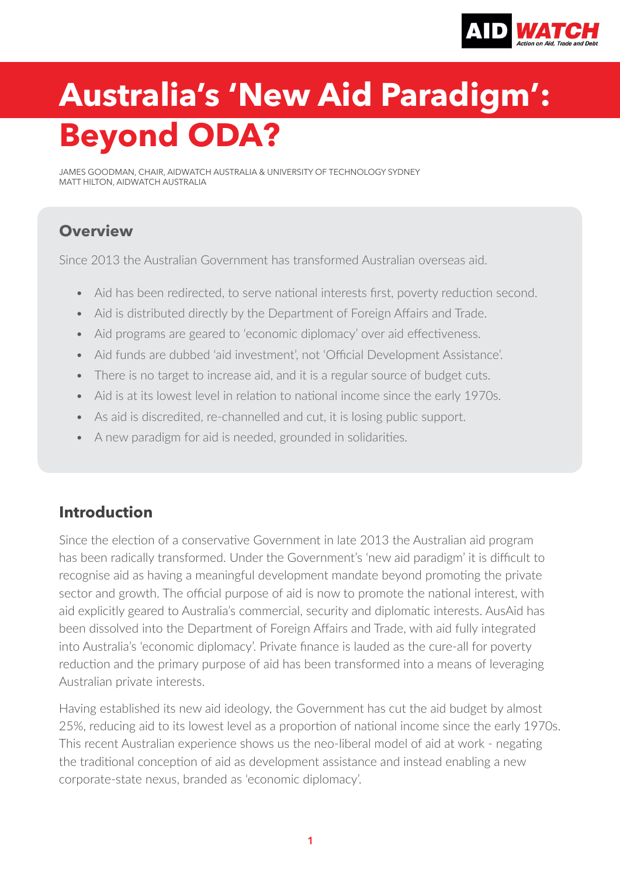

# **Australia's 'New Aid Paradigm': Beyond ODA?**

JAMES GOODMAN, CHAIR, AIDWATCH AUSTRALIA & UNIVERSITY OF TECHNOLOGY SYDNEY MATT HILTON, AIDWATCH AUSTRALIA

#### **Overview**

Since 2013 the Australian Government has transformed Australian overseas aid.

- Aid has been redirected, to serve national interests first, poverty reduction second.
- Aid is distributed directly by the Department of Foreign Affairs and Trade.
- Aid programs are geared to 'economic diplomacy' over aid effectiveness.
- Aid funds are dubbed 'aid investment', not 'Official Development Assistance'.
- There is no target to increase aid, and it is a regular source of budget cuts.
- Aid is at its lowest level in relation to national income since the early 1970s.
- As aid is discredited, re-channelled and cut, it is losing public support.
- A new paradigm for aid is needed, grounded in solidarities.

## **Introduction**

Since the election of a conservative Government in late 2013 the Australian aid program has been radically transformed. Under the Government's 'new aid paradigm' it is difficult to recognise aid as having a meaningful development mandate beyond promoting the private sector and growth. The official purpose of aid is now to promote the national interest, with aid explicitly geared to Australia's commercial, security and diplomatic interests. AusAid has been dissolved into the Department of Foreign Affairs and Trade, with aid fully integrated into Australia's 'economic diplomacy'. Private finance is lauded as the cure-all for poverty reduction and the primary purpose of aid has been transformed into a means of leveraging Australian private interests.

Having established its new aid ideology, the Government has cut the aid budget by almost 25%, reducing aid to its lowest level as a proportion of national income since the early 1970s. This recent Australian experience shows us the neo-liberal model of aid at work - negating the traditional conception of aid as development assistance and instead enabling a new corporate-state nexus, branded as 'economic diplomacy'.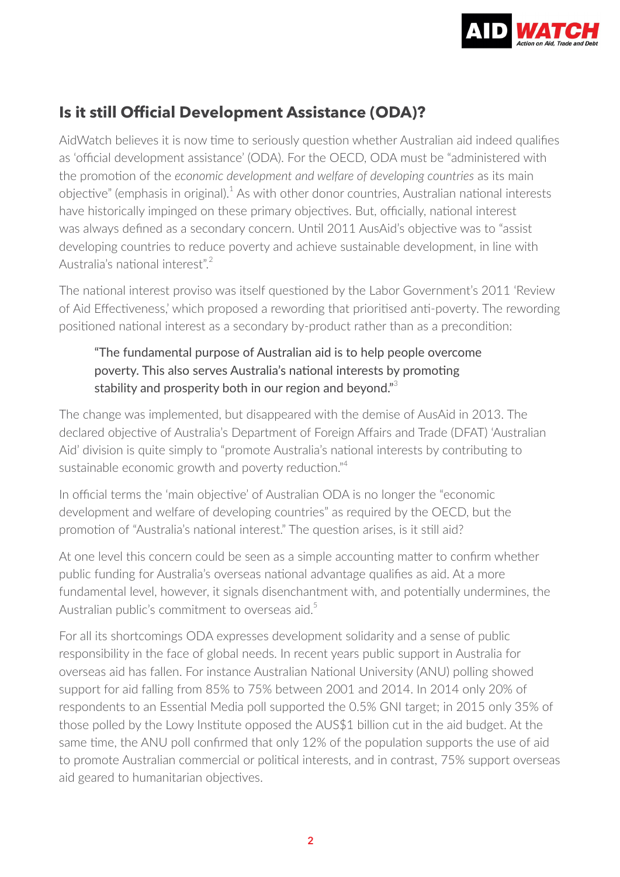

## **Is it still Official Development Assistance (ODA)?**

AidWatch believes it is now time to seriously question whether Australian aid indeed qualifies as 'official development assistance' (ODA). For the OECD, ODA must be "administered with the promotion of the *economic development and welfare of developing countries* as its main objective" (emphasis in original).<sup>1</sup> As with other donor countries, Australian national interests have historically impinged on these primary objectives. But, officially, national interest was always defined as a secondary concern. Until 2011 AusAid's objective was to "assist developing countries to reduce poverty and achieve sustainable development, in line with Australia's national interest".<sup>2</sup>

The national interest proviso was itself questioned by the Labor Government's 2011 'Review of Aid Effectiveness,' which proposed a rewording that prioritised anti-poverty. The rewording positioned national interest as a secondary by-product rather than as a precondition:

#### "The fundamental purpose of Australian aid is to help people overcome poverty. This also serves Australia's national interests by promoting stability and prosperity both in our region and beyond."<sup>3</sup>

The change was implemented, but disappeared with the demise of AusAid in 2013. The declared objective of Australia's Department of Foreign Affairs and Trade (DFAT) 'Australian Aid' division is quite simply to "promote Australia's national interests by contributing to sustainable economic growth and poverty reduction."<sup>4</sup>

In official terms the 'main objective' of Australian ODA is no longer the "economic development and welfare of developing countries" as required by the OECD, but the promotion of "Australia's national interest." The question arises, is it still aid?

At one level this concern could be seen as a simple accounting matter to confirm whether public funding for Australia's overseas national advantage qualifies as aid. At a more fundamental level, however, it signals disenchantment with, and potentially undermines, the Australian public's commitment to overseas aid.<sup>5</sup>

For all its shortcomings ODA expresses development solidarity and a sense of public responsibility in the face of global needs. In recent years public support in Australia for overseas aid has fallen. For instance Australian National University (ANU) polling showed support for aid falling from 85% to 75% between 2001 and 2014. In 2014 only 20% of respondents to an Essential Media poll supported the 0.5% GNI target; in 2015 only 35% of those polled by the Lowy Institute opposed the AUS\$1 billion cut in the aid budget. At the same time, the ANU poll confirmed that only 12% of the population supports the use of aid to promote Australian commercial or political interests, and in contrast, 75% support overseas aid geared to humanitarian objectives.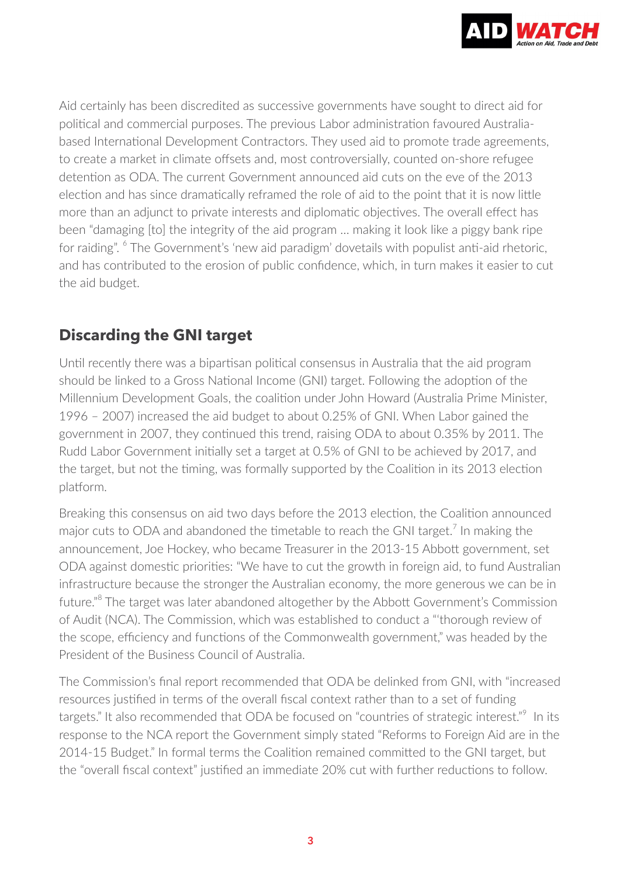

Aid certainly has been discredited as successive governments have sought to direct aid for political and commercial purposes. The previous Labor administration favoured Australiabased International Development Contractors. They used aid to promote trade agreements, to create a market in climate offsets and, most controversially, counted on-shore refugee detention as ODA. The current Government announced aid cuts on the eve of the 2013 election and has since dramatically reframed the role of aid to the point that it is now little more than an adjunct to private interests and diplomatic objectives. The overall effect has been "damaging [to] the integrity of the aid program … making it look like a piggy bank ripe for raiding". <sup>6</sup> The Government's 'new aid paradigm' dovetails with populist anti-aid rhetoric, and has contributed to the erosion of public confidence, which, in turn makes it easier to cut the aid budget.

#### **Discarding the GNI target**

Until recently there was a bipartisan political consensus in Australia that the aid program should be linked to a Gross National Income (GNI) target. Following the adoption of the Millennium Development Goals, the coalition under John Howard (Australia Prime Minister, 1996 – 2007) increased the aid budget to about 0.25% of GNI. When Labor gained the government in 2007, they continued this trend, raising ODA to about 0.35% by 2011. The Rudd Labor Government initially set a target at 0.5% of GNI to be achieved by 2017, and the target, but not the timing, was formally supported by the Coalition in its 2013 election platform.

Breaking this consensus on aid two days before the 2013 election, the Coalition announced major cuts to ODA and abandoned the timetable to reach the GNI target.<sup>7</sup> In making the announcement, Joe Hockey, who became Treasurer in the 2013-15 Abbott government, set ODA against domestic priorities: "We have to cut the growth in foreign aid, to fund Australian infrastructure because the stronger the Australian economy, the more generous we can be in future.<sup>"8</sup> The target was later abandoned altogether by the Abbott Government's Commission of Audit (NCA). The Commission, which was established to conduct a "'thorough review of the scope, efficiency and functions of the Commonwealth government," was headed by the President of the Business Council of Australia.

The Commission's final report recommended that ODA be delinked from GNI, with "increased resources justified in terms of the overall fiscal context rather than to a set of funding targets." It also recommended that ODA be focused on "countries of strategic interest."<sup>9</sup> In its response to the NCA report the Government simply stated "Reforms to Foreign Aid are in the 2014-15 Budget." In formal terms the Coalition remained committed to the GNI target, but the "overall fiscal context" justified an immediate 20% cut with further reductions to follow.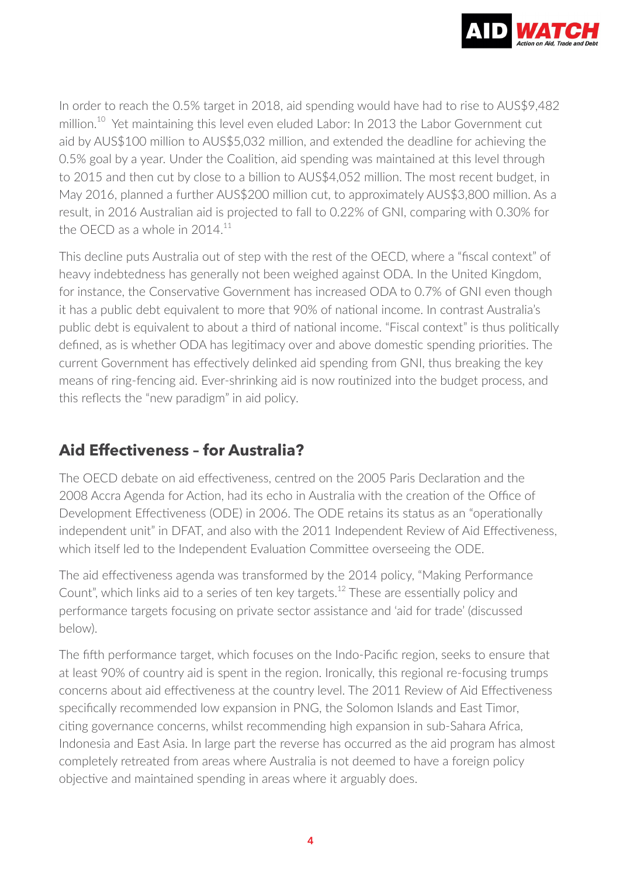

In order to reach the 0.5% target in 2018, aid spending would have had to rise to AUS\$9,482 million.<sup>10</sup> Yet maintaining this level even eluded Labor: In 2013 the Labor Government cut aid by AUS\$100 million to AUS\$5,032 million, and extended the deadline for achieving the 0.5% goal by a year. Under the Coalition, aid spending was maintained at this level through to 2015 and then cut by close to a billion to AUS\$4,052 million. The most recent budget, in May 2016, planned a further AUS\$200 million cut, to approximately AUS\$3,800 million. As a result, in 2016 Australian aid is projected to fall to 0.22% of GNI, comparing with 0.30% for the OECD as a whole in  $2014.<sup>11</sup>$ 

This decline puts Australia out of step with the rest of the OECD, where a "fiscal context" of heavy indebtedness has generally not been weighed against ODA. In the United Kingdom, for instance, the Conservative Government has increased ODA to 0.7% of GNI even though it has a public debt equivalent to more that 90% of national income. In contrast Australia's public debt is equivalent to about a third of national income. "Fiscal context" is thus politically defined, as is whether ODA has legitimacy over and above domestic spending priorities. The current Government has effectively delinked aid spending from GNI, thus breaking the key means of ring-fencing aid. Ever-shrinking aid is now routinized into the budget process, and this reflects the "new paradigm" in aid policy.

## **Aid Effectiveness – for Australia?**

The OECD debate on aid effectiveness, centred on the 2005 Paris Declaration and the 2008 Accra Agenda for Action, had its echo in Australia with the creation of the Office of Development Effectiveness (ODE) in 2006. The ODE retains its status as an "operationally independent unit" in DFAT, and also with the 2011 Independent Review of Aid Effectiveness, which itself led to the Independent Evaluation Committee overseeing the ODE.

The aid effectiveness agenda was transformed by the 2014 policy, "Making Performance Count", which links aid to a series of ten key targets.<sup>12</sup> These are essentially policy and performance targets focusing on private sector assistance and 'aid for trade' (discussed below).

The fifth performance target, which focuses on the Indo-Pacific region, seeks to ensure that at least 90% of country aid is spent in the region. Ironically, this regional re-focusing trumps concerns about aid effectiveness at the country level. The 2011 Review of Aid Effectiveness specifically recommended low expansion in PNG, the Solomon Islands and East Timor, citing governance concerns, whilst recommending high expansion in sub-Sahara Africa, Indonesia and East Asia. In large part the reverse has occurred as the aid program has almost completely retreated from areas where Australia is not deemed to have a foreign policy objective and maintained spending in areas where it arguably does.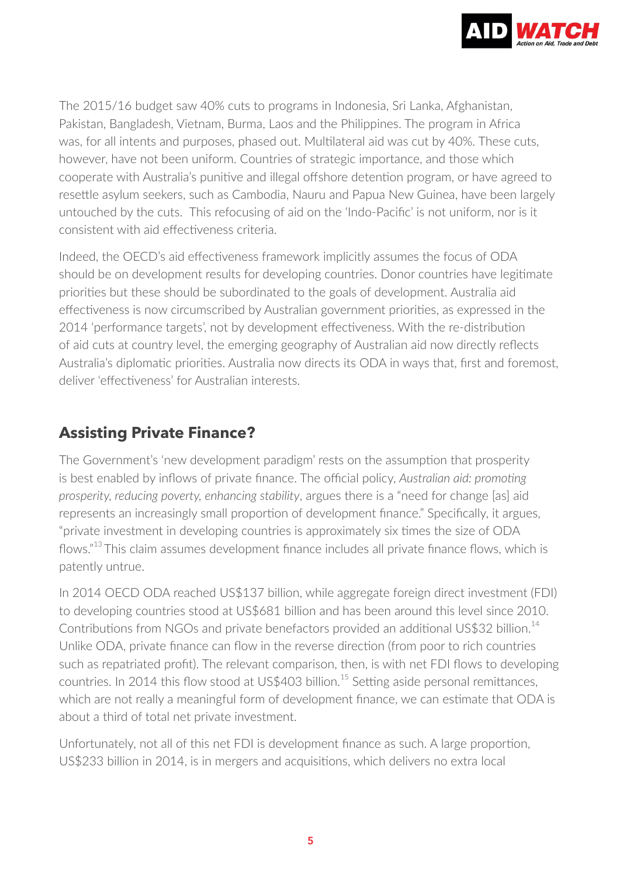

The 2015/16 budget saw 40% cuts to programs in Indonesia, Sri Lanka, Afghanistan, Pakistan, Bangladesh, Vietnam, Burma, Laos and the Philippines. The program in Africa was, for all intents and purposes, phased out. Multilateral aid was cut by 40%. These cuts, however, have not been uniform. Countries of strategic importance, and those which cooperate with Australia's punitive and illegal offshore detention program, or have agreed to resettle asylum seekers, such as Cambodia, Nauru and Papua New Guinea, have been largely untouched by the cuts. This refocusing of aid on the 'Indo-Pacific' is not uniform, nor is it consistent with aid effectiveness criteria.

Indeed, the OECD's aid effectiveness framework implicitly assumes the focus of ODA should be on development results for developing countries. Donor countries have legitimate priorities but these should be subordinated to the goals of development. Australia aid effectiveness is now circumscribed by Australian government priorities, as expressed in the 2014 'performance targets', not by development effectiveness. With the re-distribution of aid cuts at country level, the emerging geography of Australian aid now directly reflects Australia's diplomatic priorities. Australia now directs its ODA in ways that, first and foremost, deliver 'effectiveness' for Australian interests.

#### **Assisting Private Finance?**

The Government's 'new development paradigm' rests on the assumption that prosperity is best enabled by inflows of private finance. The official policy, *Australian aid: promoting prosperity, reducing poverty, enhancing stability*, argues there is a "need for change [as] aid represents an increasingly small proportion of development finance." Specifically, it argues, "private investment in developing countries is approximately six times the size of ODA flows."<sup>13</sup>This claim assumes development finance includes all private finance flows, which is patently untrue.

In 2014 OECD ODA reached US\$137 billion, while aggregate foreign direct investment (FDI) to developing countries stood at US\$681 billion and has been around this level since 2010. Contributions from NGOs and private benefactors provided an additional US\$32 billion.<sup>14</sup> Unlike ODA, private finance can flow in the reverse direction (from poor to rich countries such as repatriated profit). The relevant comparison, then, is with net FDI flows to developing countries. In 2014 this flow stood at US\$403 billion.<sup>15</sup> Setting aside personal remittances, which are not really a meaningful form of development finance, we can estimate that ODA is about a third of total net private investment.

Unfortunately, not all of this net FDI is development finance as such. A large proportion, US\$233 billion in 2014, is in mergers and acquisitions, which delivers no extra local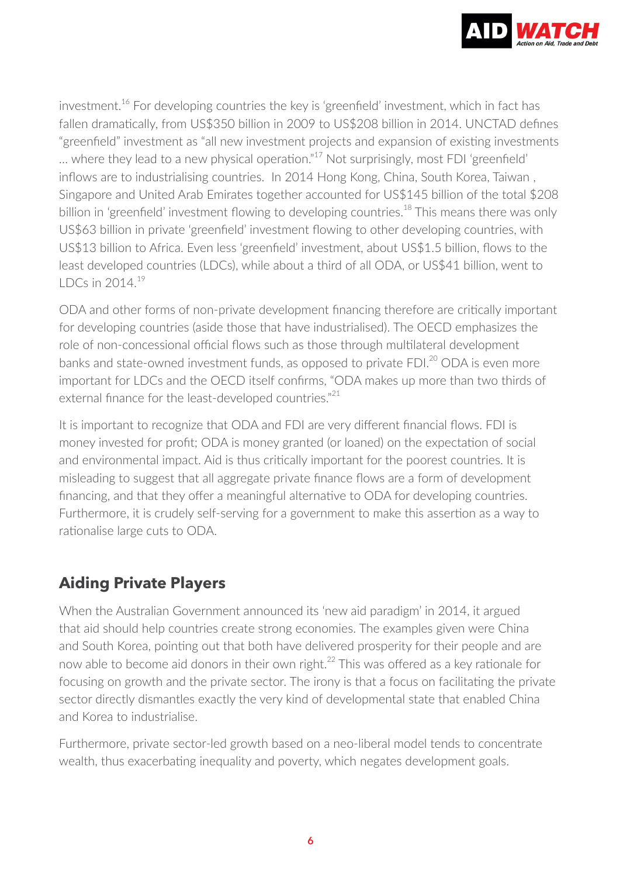

investment.<sup>16</sup> For developing countries the key is 'greenfield' investment, which in fact has fallen dramatically, from US\$350 billion in 2009 to US\$208 billion in 2014. UNCTAD defines "greenfield" investment as "all new investment projects and expansion of existing investments … where they lead to a new physical operation."<sup>17</sup> Not surprisingly, most FDI 'greenfield' inflows are to industrialising countries. In 2014 Hong Kong, China, South Korea, Taiwan , Singapore and United Arab Emirates together accounted for US\$145 billion of the total \$208 billion in 'greenfield' investment flowing to developing countries.<sup>18</sup> This means there was only US\$63 billion in private 'greenfield' investment flowing to other developing countries, with US\$13 billion to Africa. Even less 'greenfield' investment, about US\$1.5 billion, flows to the least developed countries (LDCs), while about a third of all ODA, or US\$41 billion, went to LDCs in 2014.<sup>19</sup>

ODA and other forms of non-private development financing therefore are critically important for developing countries (aside those that have industrialised). The OECD emphasizes the role of non-concessional official flows such as those through multilateral development banks and state-owned investment funds, as opposed to private FDI.<sup>20</sup> ODA is even more important for LDCs and the OECD itself confirms, "ODA makes up more than two thirds of external finance for the least-developed countries."<sup>21</sup>

It is important to recognize that ODA and FDI are very different financial flows. FDI is money invested for profit; ODA is money granted (or loaned) on the expectation of social and environmental impact. Aid is thus critically important for the poorest countries. It is misleading to suggest that all aggregate private finance flows are a form of development financing, and that they offer a meaningful alternative to ODA for developing countries. Furthermore, it is crudely self-serving for a government to make this assertion as a way to rationalise large cuts to ODA.

# **Aiding Private Players**

When the Australian Government announced its 'new aid paradigm' in 2014, it argued that aid should help countries create strong economies. The examples given were China and South Korea, pointing out that both have delivered prosperity for their people and are now able to become aid donors in their own right.<sup>22</sup> This was offered as a key rationale for focusing on growth and the private sector. The irony is that a focus on facilitating the private sector directly dismantles exactly the very kind of developmental state that enabled China and Korea to industrialise.

Furthermore, private sector-led growth based on a neo-liberal model tends to concentrate wealth, thus exacerbating inequality and poverty, which negates development goals.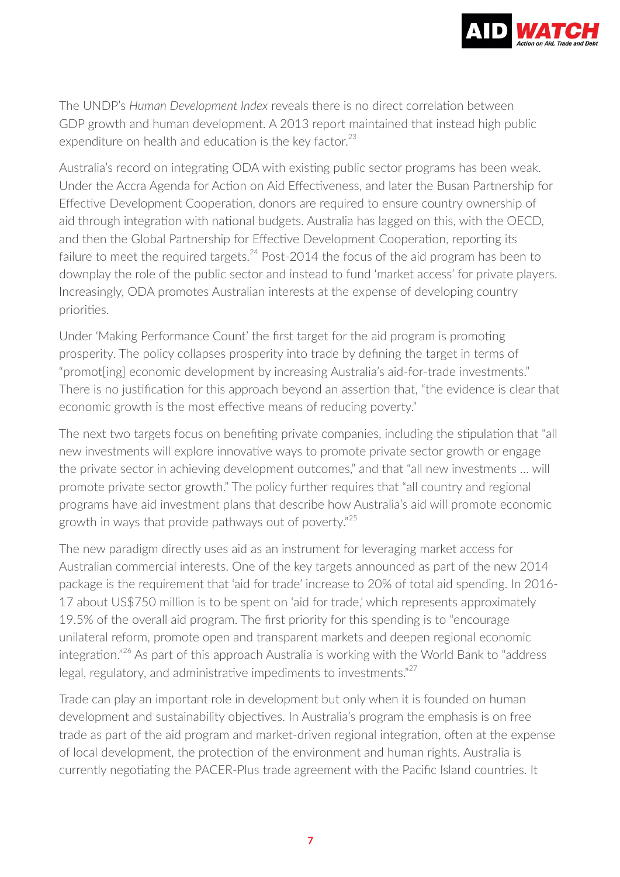

The UNDP's *Human Development Index* reveals there is no direct correlation between GDP growth and human development. A 2013 report maintained that instead high public expenditure on health and education is the key factor.<sup>23</sup>

Australia's record on integrating ODA with existing public sector programs has been weak. Under the Accra Agenda for Action on Aid Effectiveness, and later the Busan Partnership for Effective Development Cooperation, donors are required to ensure country ownership of aid through integration with national budgets. Australia has lagged on this, with the OECD, and then the Global Partnership for Effective Development Cooperation, reporting its failure to meet the required targets. $^{24}$  Post-2014 the focus of the aid program has been to downplay the role of the public sector and instead to fund 'market access' for private players. Increasingly, ODA promotes Australian interests at the expense of developing country priorities.

Under 'Making Performance Count' the first target for the aid program is promoting prosperity. The policy collapses prosperity into trade by defining the target in terms of "promot[ing] economic development by increasing Australia's aid-for-trade investments." There is no justification for this approach beyond an assertion that, "the evidence is clear that economic growth is the most effective means of reducing poverty."

The next two targets focus on benefiting private companies, including the stipulation that "all new investments will explore innovative ways to promote private sector growth or engage the private sector in achieving development outcomes," and that "all new investments … will promote private sector growth." The policy further requires that "all country and regional programs have aid investment plans that describe how Australia's aid will promote economic growth in ways that provide pathways out of poverty."<sup>25</sup>

The new paradigm directly uses aid as an instrument for leveraging market access for Australian commercial interests. One of the key targets announced as part of the new 2014 package is the requirement that 'aid for trade' increase to 20% of total aid spending. In 2016- 17 about US\$750 million is to be spent on 'aid for trade,' which represents approximately 19.5% of the overall aid program. The first priority for this spending is to "encourage unilateral reform, promote open and transparent markets and deepen regional economic integration."<sup>26</sup> As part of this approach Australia is working with the World Bank to "address legal, regulatory, and administrative impediments to investments."<sup>27</sup>

Trade can play an important role in development but only when it is founded on human development and sustainability objectives. In Australia's program the emphasis is on free trade as part of the aid program and market-driven regional integration, often at the expense of local development, the protection of the environment and human rights. Australia is currently negotiating the PACER-Plus trade agreement with the Pacific Island countries. It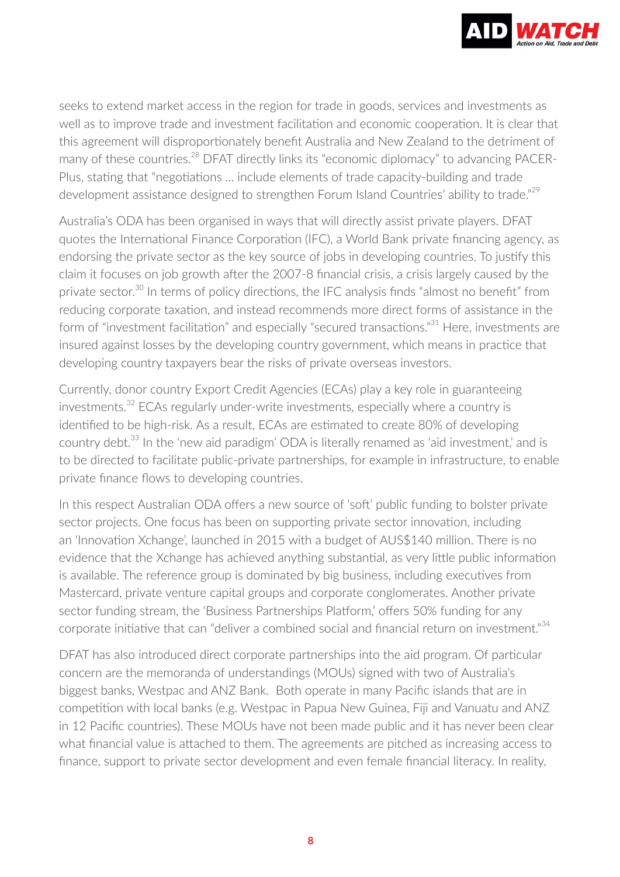

seeks to extend market access in the region for trade in goods, services and investments as well as to improve trade and investment facilitation and economic cooperation. It is clear that this agreement will disproportionately benefit Australia and New Zealand to the detriment of many of these countries.<sup>28</sup> DFAT directly links its "economic diplomacy" to advancing PACER-Plus, stating that "negotiations ... include elements of trade capacity-building and trade development assistance designed to strengthen Forum Island Countries' ability to trade."<sup>29</sup>

Australia's ODA has been organised in ways that will directly assist private players. DFAT quotes the International Finance Corporation (IFC), a World Bank private financing agency, as endorsing the private sector as the key source of jobs in developing countries. To justify this claim it focuses on job growth after the 2007-8 financial crisis, a crisis largely caused by the private sector.<sup>30</sup> In terms of policy directions, the IFC analysis finds "almost no benefit" from reducing corporate taxation, and instead recommends more direct forms of assistance in the form of "investment facilitation" and especially "secured transactions."<sup>31</sup> Here, investments are insured against losses by the developing country government, which means in practice that developing country taxpayers bear the risks of private overseas investors.

Currently, donor country Export Credit Agencies (ECAs) play a key role in guaranteeing investments.<sup>32</sup> ECAs regularly under-write investments, especially where a country is identified to be high-risk. As a result, ECAs are estimated to create 80% of developing country debt.<sup>33</sup> In the 'new aid paradigm' ODA is literally renamed as 'aid investment,' and is to be directed to facilitate public-private partnerships, for example in infrastructure, to enable private finance flows to developing countries.

In this respect Australian ODA offers a new source of 'soft' public funding to bolster private sector projects. One focus has been on supporting private sector innovation, including an 'Innovation Xchange', launched in 2015 with a budget of AUS\$140 million. There is no evidence that the Xchange has achieved anything substantial, as very little public information is available. The reference group is dominated by big business, including executives from Mastercard, private venture capital groups and corporate conglomerates. Another private sector funding stream, the 'Business Partnerships Platform,' offers 50% funding for any corporate initiative that can "deliver a combined social and financial return on investment."<sup>34</sup>

DFAT has also introduced direct corporate partnerships into the aid program. Of particular concern are the memoranda of understandings (MOUs) signed with two of Australia's biggest banks, Westpac and ANZ Bank. Both operate in many Pacific islands that are in competition with local banks (e.g. Westpac in Papua New Guinea, Fiji and Vanuatu and ANZ in 12 Pacific countries). These MOUs have not been made public and it has never been clear what financial value is attached to them. The agreements are pitched as increasing access to finance, support to private sector development and even female financial literacy. In reality,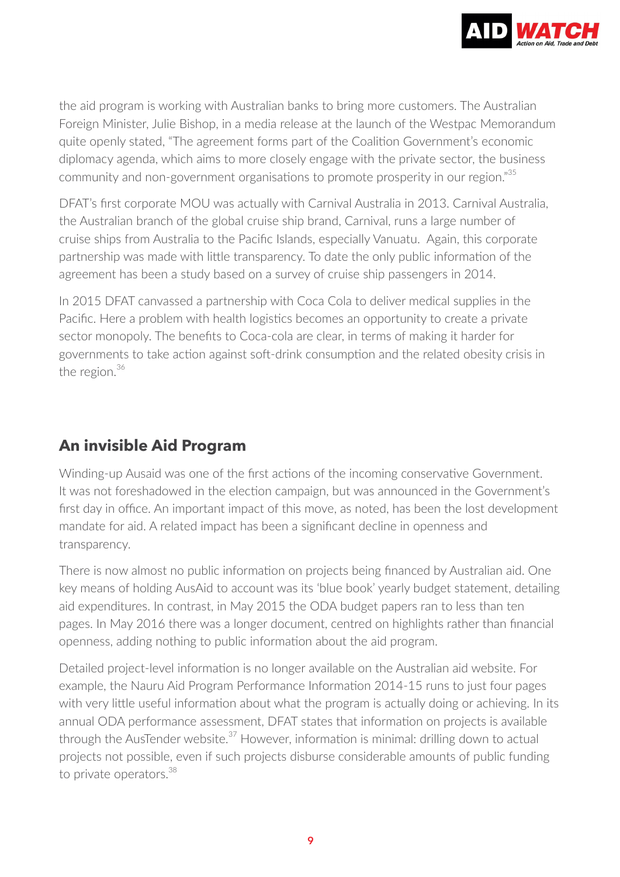

the aid program is working with Australian banks to bring more customers. The Australian Foreign Minister, Julie Bishop, in a media release at the launch of the Westpac Memorandum quite openly stated, "The agreement forms part of the Coalition Government's economic diplomacy agenda, which aims to more closely engage with the private sector, the business community and non-government organisations to promote prosperity in our region."<sup>35</sup>

DFAT's first corporate MOU was actually with Carnival Australia in 2013. Carnival Australia, the Australian branch of the global cruise ship brand, Carnival, runs a large number of cruise ships from Australia to the Pacific Islands, especially Vanuatu. Again, this corporate partnership was made with little transparency. To date the only public information of the agreement has been a study based on a survey of cruise ship passengers in 2014.

In 2015 DFAT canvassed a partnership with Coca Cola to deliver medical supplies in the Pacific. Here a problem with health logistics becomes an opportunity to create a private sector monopoly. The benefits to Coca-cola are clear, in terms of making it harder for governments to take action against soft-drink consumption and the related obesity crisis in the region. $36$ 

## **An invisible Aid Program**

Winding-up Ausaid was one of the first actions of the incoming conservative Government. It was not foreshadowed in the election campaign, but was announced in the Government's first day in office. An important impact of this move, as noted, has been the lost development mandate for aid. A related impact has been a significant decline in openness and transparency.

There is now almost no public information on projects being financed by Australian aid. One key means of holding AusAid to account was its 'blue book' yearly budget statement, detailing aid expenditures. In contrast, in May 2015 the ODA budget papers ran to less than ten pages. In May 2016 there was a longer document, centred on highlights rather than financial openness, adding nothing to public information about the aid program.

Detailed project-level information is no longer available on the Australian aid website. For example, the Nauru Aid Program Performance Information 2014-15 runs to just four pages with very little useful information about what the program is actually doing or achieving. In its annual ODA performance assessment, DFAT states that information on projects is available through the AusTender website. $37$  However, information is minimal: drilling down to actual projects not possible, even if such projects disburse considerable amounts of public funding to private operators.<sup>38</sup>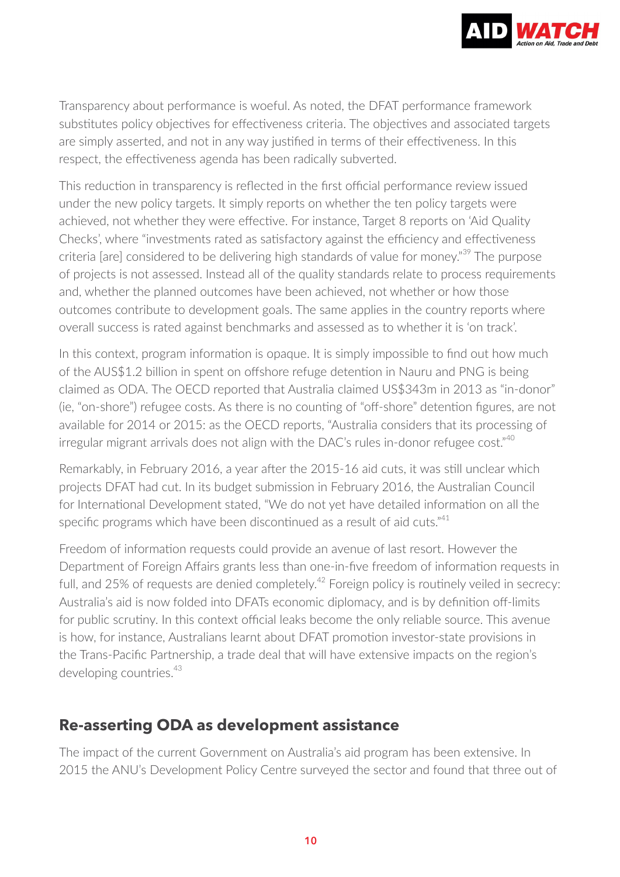

Transparency about performance is woeful. As noted, the DFAT performance framework substitutes policy objectives for effectiveness criteria. The objectives and associated targets are simply asserted, and not in any way justified in terms of their effectiveness. In this respect, the effectiveness agenda has been radically subverted.

This reduction in transparency is reflected in the first official performance review issued under the new policy targets. It simply reports on whether the ten policy targets were achieved, not whether they were effective. For instance, Target 8 reports on 'Aid Quality Checks', where "investments rated as satisfactory against the efficiency and effectiveness criteria [are] considered to be delivering high standards of value for money."<sup>39</sup> The purpose of projects is not assessed. Instead all of the quality standards relate to process requirements and, whether the planned outcomes have been achieved, not whether or how those outcomes contribute to development goals. The same applies in the country reports where overall success is rated against benchmarks and assessed as to whether it is 'on track'.

In this context, program information is opaque. It is simply impossible to find out how much of the AUS\$1.2 billion in spent on offshore refuge detention in Nauru and PNG is being claimed as ODA. The OECD reported that Australia claimed US\$343m in 2013 as "in-donor" (ie, "on-shore") refugee costs. As there is no counting of "off-shore" detention figures, are not available for 2014 or 2015: as the OECD reports, "Australia considers that its processing of irregular migrant arrivals does not align with the DAC's rules in-donor refugee cost."<sup>40</sup>

Remarkably, in February 2016, a year after the 2015-16 aid cuts, it was still unclear which projects DFAT had cut. In its budget submission in February 2016, the Australian Council for International Development stated, "We do not yet have detailed information on all the specific programs which have been discontinued as a result of aid cuts."<sup>41</sup>

Freedom of information requests could provide an avenue of last resort. However the Department of Foreign Affairs grants less than one-in-five freedom of information requests in full, and 25% of requests are denied completely.<sup>42</sup> Foreign policy is routinely veiled in secrecy: Australia's aid is now folded into DFATs economic diplomacy, and is by definition off-limits for public scrutiny. In this context official leaks become the only reliable source. This avenue is how, for instance, Australians learnt about DFAT promotion investor-state provisions in the Trans-Pacific Partnership, a trade deal that will have extensive impacts on the region's developing countries.<sup>43</sup>

#### **Re-asserting ODA as development assistance**

The impact of the current Government on Australia's aid program has been extensive. In 2015 the ANU's Development Policy Centre surveyed the sector and found that three out of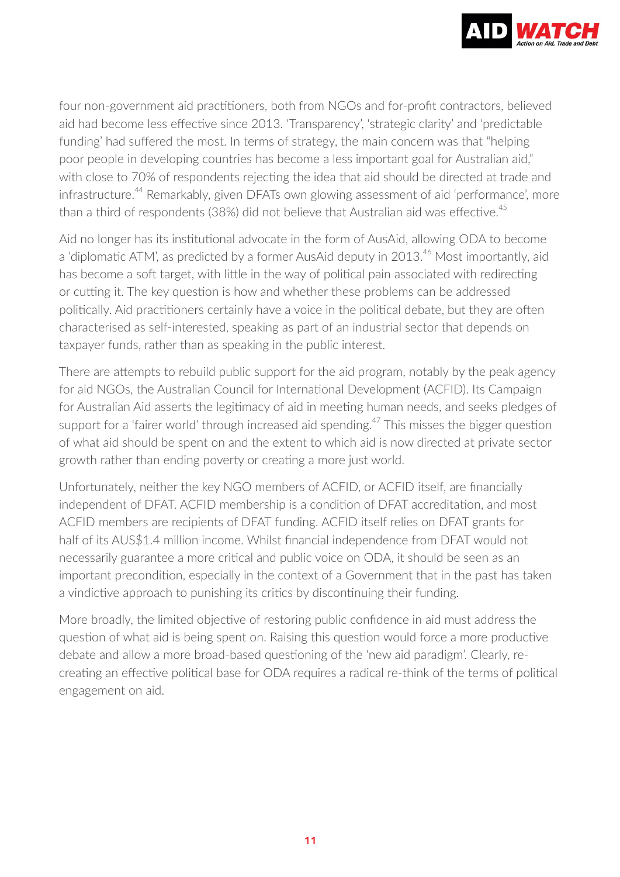

four non-government aid practitioners, both from NGOs and for-profit contractors, believed aid had become less effective since 2013. 'Transparency', 'strategic clarity' and 'predictable funding' had suffered the most. In terms of strategy, the main concern was that "helping poor people in developing countries has become a less important goal for Australian aid," with close to 70% of respondents rejecting the idea that aid should be directed at trade and infrastructure.<sup>44</sup> Remarkably, given DFATs own glowing assessment of aid 'performance', more than a third of respondents (38%) did not believe that Australian aid was effective.<sup>45</sup>

Aid no longer has its institutional advocate in the form of AusAid, allowing ODA to become a 'diplomatic ATM', as predicted by a former AusAid deputy in 2013.<sup>46</sup> Most importantly, aid has become a soft target, with little in the way of political pain associated with redirecting or cutting it. The key question is how and whether these problems can be addressed politically. Aid practitioners certainly have a voice in the political debate, but they are often characterised as self-interested, speaking as part of an industrial sector that depends on taxpayer funds, rather than as speaking in the public interest.

There are attempts to rebuild public support for the aid program, notably by the peak agency for aid NGOs, the Australian Council for International Development (ACFID). Its Campaign for Australian Aid asserts the legitimacy of aid in meeting human needs, and seeks pledges of support for a 'fairer world' through increased aid spending.<sup>47</sup> This misses the bigger question of what aid should be spent on and the extent to which aid is now directed at private sector growth rather than ending poverty or creating a more just world.

Unfortunately, neither the key NGO members of ACFID, or ACFID itself, are financially independent of DFAT. ACFID membership is a condition of DFAT accreditation, and most ACFID members are recipients of DFAT funding. ACFID itself relies on DFAT grants for half of its AUS\$1.4 million income. Whilst financial independence from DFAT would not necessarily guarantee a more critical and public voice on ODA, it should be seen as an important precondition, especially in the context of a Government that in the past has taken a vindictive approach to punishing its critics by discontinuing their funding.

More broadly, the limited objective of restoring public confidence in aid must address the question of what aid is being spent on. Raising this question would force a more productive debate and allow a more broad-based questioning of the 'new aid paradigm'. Clearly, recreating an effective political base for ODA requires a radical re-think of the terms of political engagement on aid.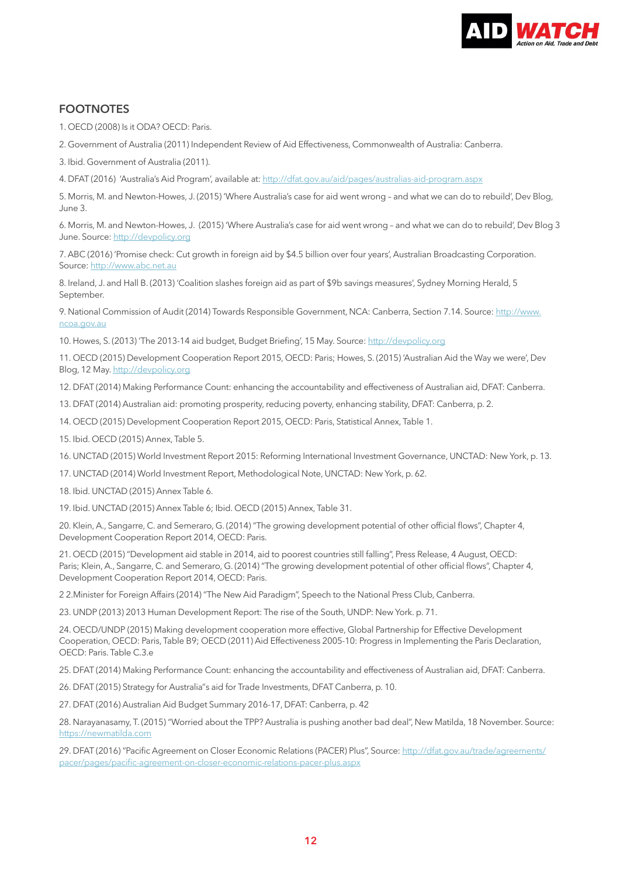

#### **FOOTNOTES**

- 1. OECD (2008) Is it ODA? OECD: Paris.
- 2. Government of Australia (2011) Independent Review of Aid Effectiveness, Commonwealth of Australia: Canberra.
- 3. Ibid. Government of Australia (2011).
- 4. DFAT (2016) 'Australia's Aid Program', available at:<http://dfat.gov.au/aid/pages/australias-aid-program.aspx>

5. Morris, M. and Newton-Howes, J. (2015) 'Where Australia's case for aid went wrong – and what we can do to rebuild', Dev Blog,  $\ln n$  $\approx$  3.

6. Morris, M. and Newton-Howes, J. (2015) 'Where Australia's case for aid went wrong – and what we can do to rebuild', Dev Blog 3 June. Source:<http://devpolicy.org>

7. ABC (2016) 'Promise check: Cut growth in foreign aid by \$4.5 billion over four years', Australian Broadcasting Corporation. Source: [http://www.abc.net.au](http://dfat.gov.au/aid/pages/australias-aid-program.aspx)

8. Ireland, J. and Hall B. (2013) 'Coalition slashes foreign aid as part of \$9b savings measures', Sydney Morning Herald, 5 September.

9. National Commission of Audit (2014) Towards Responsible Government, NCA: Canberra, Section 7.14. Source: [http://www.](http://devpolicy.org) [ncoa.gov.au](http://devpolicy.org)

10. Howes, S. (2013) 'The 2013-14 aid budget, Budget Briefing', 15 May. Source: <http://devpolicy.org>

11. OECD (2015) Development Cooperation Report 2015, OECD: Paris; Howes, S. (2015) 'Australian Aid the Way we were', Dev Blog, 12 May.<http://devpolicy.org>

12. DFAT (2014) Making Performance Count: enhancing the accountability and effectiveness of Australian aid, DFAT: Canberra.

13. DFAT (2014) Australian aid: promoting prosperity, reducing poverty, enhancing stability, DFAT: Canberra, p. 2.

14. OECD (2015) Development Cooperation Report 2015, OECD: Paris, Statistical Annex, Table 1.

15. Ibid. OECD (2015) Annex, Table 5.

16. UNCTAD (2015) World Investment Report 2015: Reforming International Investment Governance, UNCTAD: New York, p. 13.

17. UNCTAD (2014) World Investment Report, Methodological Note, UNCTAD: New York, p. 62.

18. Ibid. UNCTAD (2015) Annex Table 6.

19. Ibid. UNCTAD (2015) Annex Table 6; Ibid. OECD (2015) Annex, Table 31.

20. Klein, A., Sangarre, C. and Semeraro, G. (2014) "The growing development potential of other official flows", Chapter 4, Development Cooperation Report 2014, OECD: Paris.

21. OECD (2015) "Development aid stable in 2014, aid to poorest countries still falling", Press Release, 4 August, OECD: Paris; Klein, A., Sangarre, C. and Semeraro, G. (2014) "The growing development potential of other official flows", Chapter 4, Development Cooperation Report 2014, OECD: Paris.

2 2.Minister for Foreign Affairs (2014) "The New Aid Paradigm", Speech to the National Press Club, Canberra.

23. UNDP (2013) 2013 Human Development Report: The rise of the South, UNDP: New York. p. 71.

24. OECD/UNDP (2015) Making development cooperation more effective, Global Partnership for Effective Development Cooperation, OECD: Paris, Table B9; OECD (2011) Aid Effectiveness 2005-10: Progress in Implementing the Paris Declaration, OECD: Paris. Table C.3.e

25. DFAT (2014) Making Performance Count: enhancing the accountability and effectiveness of Australian aid, DFAT: Canberra.

26. DFAT (2015) Strategy for Australia"s aid for Trade Investments, DFAT Canberra, p. 10.

27. DFAT (2016) Australian Aid Budget Summary 2016-17, DFAT: Canberra, p. 42

28. Narayanasamy, T. (2015) "Worried about the TPP? Australia is pushing another bad deal", New Matilda, 18 November. Source: <https://newmatilda.com>

29. DFAT (2016) "Pacific Agreement on Closer Economic Relations (PACER) Plus", Source: [http://dfat.gov.au/trade/agreements/](http://dfat.gov.au/trade/agreements/pacer/pages/pacific-agreement-on-closer-economic-relations-pacer-plus.aspx) [pacer/pages/pacific-agreement-on-closer-economic-relations-pacer-plus.aspx](http://dfat.gov.au/trade/agreements/pacer/pages/pacific-agreement-on-closer-economic-relations-pacer-plus.aspx)